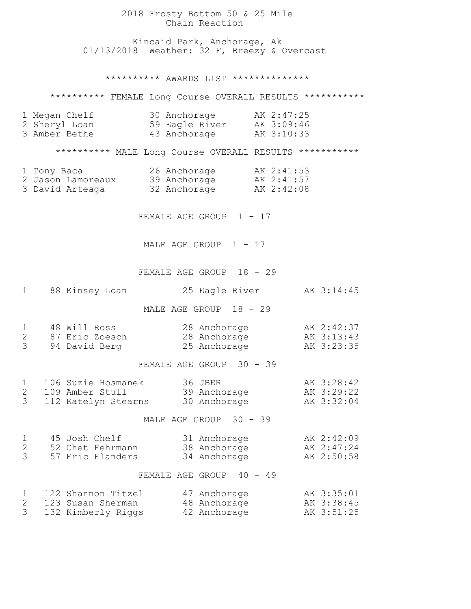|                                                                                                     | 2018 Frosty Bottom 50 & 25 Mile<br>Chain Reaction                                    |                                        |  |  |  |
|-----------------------------------------------------------------------------------------------------|--------------------------------------------------------------------------------------|----------------------------------------|--|--|--|
|                                                                                                     | Kincaid Park, Anchorage, Ak<br>01/13/2018 Weather: 32 F, Breezy & Overcast           |                                        |  |  |  |
|                                                                                                     | ********** AWARDS LIST **************                                                |                                        |  |  |  |
|                                                                                                     | ********** FEMALE Long Course OVERALL RESULTS ************                           |                                        |  |  |  |
| 1 Megan Chelf<br>2 Sheryl Loan<br>3 Amber Bethe                                                     | 30 Anchorage AK 2:47:25<br>59 Eagle River AK 3:09:46<br>43 Anchorage AK 3:10:33      |                                        |  |  |  |
|                                                                                                     | ********** MALE Long Course OVERALL RESULTS ***********                              |                                        |  |  |  |
| 1 Tony Baca<br>3 David Arteaga                                                                      | 26 Anchorage<br>2 Jason Lamoreaux 39 Anchorage AK 2:41:57<br>32 Anchorage MK 2:42:08 | AK 2:41:53                             |  |  |  |
|                                                                                                     | FEMALE AGE GROUP 1 - 17                                                              |                                        |  |  |  |
|                                                                                                     | MALE AGE GROUP 1 - 17                                                                |                                        |  |  |  |
|                                                                                                     | FEMALE AGE GROUP 18 - 29                                                             |                                        |  |  |  |
| 88 Kinsey Loan<br>1                                                                                 | 25 Eagle River                                                                       | AK 3:14:45                             |  |  |  |
|                                                                                                     | MALE AGE GROUP 18 - 29                                                               |                                        |  |  |  |
| 48 Will Ross<br>1<br>$\overline{2}$<br>87 Eric Zoesch<br>3<br>94 David Berg                         | 28 Anchorage Mar 2:42:37<br>28 Anchorage<br>25 Anchorage                             | AK 3:13:43<br>AK 3:23:35               |  |  |  |
|                                                                                                     | FEMALE AGE GROUP 30 - 39                                                             |                                        |  |  |  |
| 106 Suzie Hosmanek<br>$\mathbf{1}$<br>$\overline{2}$<br>109 Amber Stull<br>3<br>112 Katelyn Stearns | 36 JBER<br>39 Anchorage<br>30 Anchorage                                              | AK 3:28:42<br>AK 3:29:22<br>AK 3:32:04 |  |  |  |
| MALE AGE GROUP 30 - 39                                                                              |                                                                                      |                                        |  |  |  |
| 45 Josh Chelf<br>1<br>$\overline{2}$<br>52 Chet Fehrmann<br>$\mathcal{S}$<br>57 Eric Flanders       | 31 Anchorage<br>38 Anchorage<br>34 Anchorage                                         | AK 2:42:09<br>AK 2:47:24<br>AK 2:50:58 |  |  |  |
| FEMALE AGE GROUP 40 - 49                                                                            |                                                                                      |                                        |  |  |  |
| 122 Shannon Titzel<br>1<br>$\mathbf{2}$<br>123 Susan Sherman<br>3<br>132 Kimberly Riggs             | 47 Anchorage<br>48 Anchorage<br>42 Anchorage                                         | AK 3:35:01<br>AK 3:38:45<br>AK 3:51:25 |  |  |  |